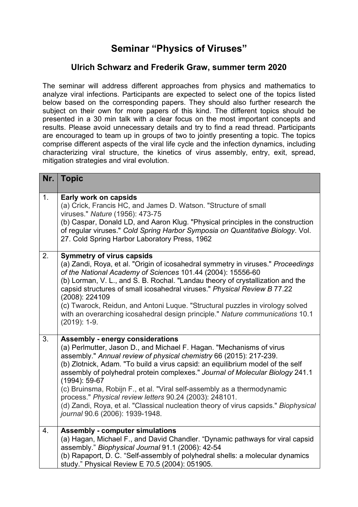## **Seminar "Physics of Viruses"**

## **Ulrich Schwarz and Frederik Graw, summer term 2020**

The seminar will address different approaches from physics and mathematics to analyze viral infections. Participants are expected to select one of the topics listed below based on the corresponding papers. They should also further research the subject on their own for more papers of this kind. The different topics should be presented in a 30 min talk with a clear focus on the most important concepts and results. Please avoid unnecessary details and try to find a read thread. Participants are encouraged to team up in groups of two to jointly presenting a topic. The topics comprise different aspects of the viral life cycle and the infection dynamics, including characterizing viral structure, the kinetics of virus assembly, entry, exit, spread, mitigation strategies and viral evolution.

| Nr. | <b>Topic</b>                                                                                                                                                                                                                                                                                                                                                                                                                                                                                                                                                                                                                                |
|-----|---------------------------------------------------------------------------------------------------------------------------------------------------------------------------------------------------------------------------------------------------------------------------------------------------------------------------------------------------------------------------------------------------------------------------------------------------------------------------------------------------------------------------------------------------------------------------------------------------------------------------------------------|
| 1.  | Early work on capsids<br>(a) Crick, Francis HC, and James D. Watson. "Structure of small<br>viruses." Nature (1956): 473-75<br>(b) Caspar, Donald LD, and Aaron Klug. "Physical principles in the construction<br>of regular viruses." Cold Spring Harbor Symposia on Quantitative Biology. Vol.<br>27. Cold Spring Harbor Laboratory Press, 1962                                                                                                                                                                                                                                                                                           |
| 2.  | <b>Symmetry of virus capsids</b><br>(a) Zandi, Roya, et al. "Origin of icosahedral symmetry in viruses." Proceedings<br>of the National Academy of Sciences 101.44 (2004): 15556-60<br>(b) Lorman, V. L., and S. B. Rochal. "Landau theory of crystallization and the<br>capsid structures of small icosahedral viruses." Physical Review B 77.22<br>(2008): 224109<br>(c) Twarock, Reidun, and Antoni Luque. "Structural puzzles in virology solved<br>with an overarching icosahedral design principle." Nature communications 10.1<br>$(2019): 1-9.$                                                                                     |
| 3.  | <b>Assembly - energy considerations</b><br>(a) Perlmutter, Jason D., and Michael F. Hagan. "Mechanisms of virus<br>assembly." Annual review of physical chemistry 66 (2015): 217-239.<br>(b) Zlotnick, Adam. "To build a virus capsid: an equilibrium model of the self<br>assembly of polyhedral protein complexes." Journal of Molecular Biology 241.1<br>$(1994): 59-67$<br>(c) Bruinsma, Robijn F., et al. "Viral self-assembly as a thermodynamic<br>process." Physical review letters 90.24 (2003): 248101.<br>(d) Zandi, Roya, et al. "Classical nucleation theory of virus capsids." Biophysical<br>journal 90.6 (2006): 1939-1948. |
| 4.  | <b>Assembly - computer simulations</b><br>(a) Hagan, Michael F., and David Chandler. "Dynamic pathways for viral capsid<br>assembly." Biophysical Journal 91.1 (2006): 42-54<br>(b) Rapaport, D. C. "Self-assembly of polyhedral shells: a molecular dynamics<br>study." Physical Review E 70.5 (2004): 051905.                                                                                                                                                                                                                                                                                                                             |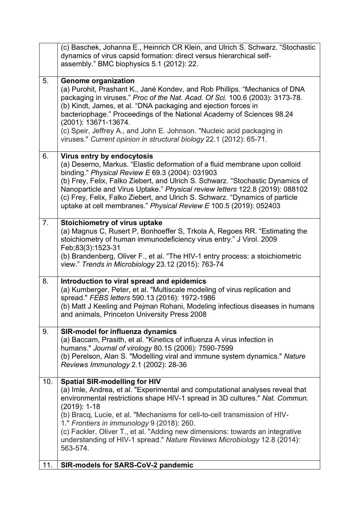|     | (c) Baschek, Johanna E., Heinrich CR Klein, and Ulrich S. Schwarz. "Stochastic<br>dynamics of virus capsid formation: direct versus hierarchical self-<br>assembly." BMC biophysics 5.1 (2012): 22.                                                                                                                                                                                                                                                                                                                         |
|-----|-----------------------------------------------------------------------------------------------------------------------------------------------------------------------------------------------------------------------------------------------------------------------------------------------------------------------------------------------------------------------------------------------------------------------------------------------------------------------------------------------------------------------------|
| 5.  | <b>Genome organization</b><br>(a) Purohit, Prashant K., Jané Kondev, and Rob Phillips. "Mechanics of DNA<br>packaging in viruses." Proc of the Nat. Acad. Of Sci. 100.6 (2003): 3173-78.<br>(b) Kindt, James, et al. "DNA packaging and ejection forces in<br>bacteriophage." Proceedings of the National Academy of Sciences 98.24<br>(2001): 13671-13674.<br>(c) Speir, Jeffrey A., and John E. Johnson. "Nucleic acid packaging in<br>viruses." Current opinion in structural biology 22.1 (2012): 65-71.                |
| 6.  | Virus entry by endocytosis<br>(a) Deserno, Markus. "Elastic deformation of a fluid membrane upon colloid<br>binding." Physical Review E 69.3 (2004): 031903<br>(b) Frey, Felix, Falko Ziebert, and Ulrich S. Schwarz. "Stochastic Dynamics of<br>Nanoparticle and Virus Uptake." Physical review letters 122.8 (2019): 088102<br>(c) Frey, Felix, Falko Ziebert, and Ulrich S. Schwarz. "Dynamics of particle<br>uptake at cell membranes." Physical Review E 100.5 (2019): 052403                                          |
| 7.  | Stoichiometry of virus uptake<br>(a) Magnus C, Rusert P, Bonhoeffer S, Trkola A, Regoes RR. "Estimating the<br>stoichiometry of human immunodeficiency virus entry." J Virol. 2009<br>Feb;83(3):1523-31<br>(b) Brandenberg, Oliver F., et al. "The HIV-1 entry process: a stoichiometric<br>view." Trends in Microbiology 23.12 (2015): 763-74                                                                                                                                                                              |
| 8.  | Introduction to viral spread and epidemics<br>(a) Kumberger, Peter, et al. "Multiscale modeling of virus replication and<br>spread." FEBS letters 590.13 (2016): 1972-1986<br>(b) Matt J Keeling and Pejman Rohani, Modeling infectious diseases in humans<br>and animals, Princeton University Press 2008                                                                                                                                                                                                                  |
| 9.  | <b>SIR-model for influenza dynamics</b><br>(a) Baccam, Prasith, et al. "Kinetics of influenza A virus infection in<br>humans." Journal of virology 80.15 (2006): 7590-7599<br>(b) Perelson, Alan S. "Modelling viral and immune system dynamics." Nature<br>Reviews Immunology 2.1 (2002): 28-36                                                                                                                                                                                                                            |
| 10. | <b>Spatial SIR-modelling for HIV</b><br>(a) Imle, Andrea, et al. "Experimental and computational analyses reveal that<br>environmental restrictions shape HIV-1 spread in 3D cultures." Nat. Commun.<br>$(2019): 1-18$<br>(b) Bracq, Lucie, et al. "Mechanisms for cell-to-cell transmission of HIV-<br>1." Frontiers in immunology 9 (2018): 260.<br>(c) Fackler, Oliver T., et al. "Adding new dimensions: towards an integrative<br>understanding of HIV-1 spread." Nature Reviews Microbiology 12.8 (2014):<br>563-574. |
| 11. | <b>SIR-models for SARS-CoV-2 pandemic</b>                                                                                                                                                                                                                                                                                                                                                                                                                                                                                   |